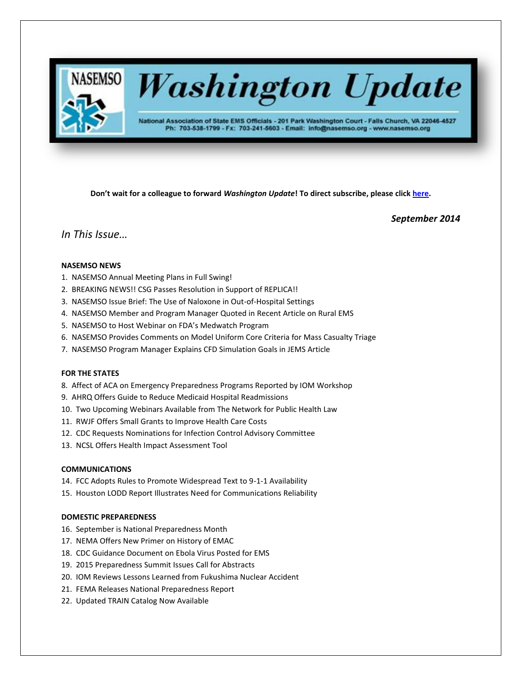

# **Washington Update**

National Association of State EMS Officials - 201 Park Washington Court - Falls Church, VA 22046-4527 Ph: 703-538-1799 - Fx: 703-241-5603 - Email: info@nasemso.org - www.nasemso.org

**Don't wait for a colleague to forward** *Washington Update***! To direct subscribe, please click [here.](http://lists.nasemso.org/read/all_forums/subscribe?name=wu%20)**

*September 2014*

# *In This Issue…*

#### **NASEMSO NEWS**

- 1. NASEMSO Annual Meeting Plans in Full Swing!
- 2. BREAKING NEWS!! CSG Passes Resolution in Support of REPLICA!!
- 3. NASEMSO Issue Brief: The Use of Naloxone in Out-of-Hospital Settings
- 4. NASEMSO Member and Program Manager Quoted in Recent Article on Rural EMS
- 5. NASEMSO to Host Webinar on FDA's Medwatch Program
- 6. NASEMSO Provides Comments on Model Uniform Core Criteria for Mass Casualty Triage
- 7. NASEMSO Program Manager Explains CFD Simulation Goals in JEMS Article

#### **FOR THE STATES**

- 8. Affect of ACA on Emergency Preparedness Programs Reported by IOM Workshop
- 9. AHRQ Offers Guide to Reduce Medicaid Hospital Readmissions
- 10. Two Upcoming Webinars Available from The Network for Public Health Law
- 11. RWJF Offers Small Grants to Improve Health Care Costs
- 12. CDC Requests Nominations for Infection Control Advisory Committee
- 13. NCSL Offers Health Impact Assessment Tool

#### **COMMUNICATIONS**

- 14. FCC Adopts Rules to Promote Widespread Text to 9-1-1 Availability
- 15. Houston LODD Report Illustrates Need for Communications Reliability

#### **DOMESTIC PREPAREDNESS**

- 16. September is National Preparedness Month
- 17. NEMA Offers New Primer on History of EMAC
- 18. CDC Guidance Document on Ebola Virus Posted for EMS
- 19. 2015 Preparedness Summit Issues Call for Abstracts
- 20. IOM Reviews Lessons Learned from Fukushima Nuclear Accident
- 21. FEMA Releases National Preparedness Report
- 22. Updated TRAIN Catalog Now Available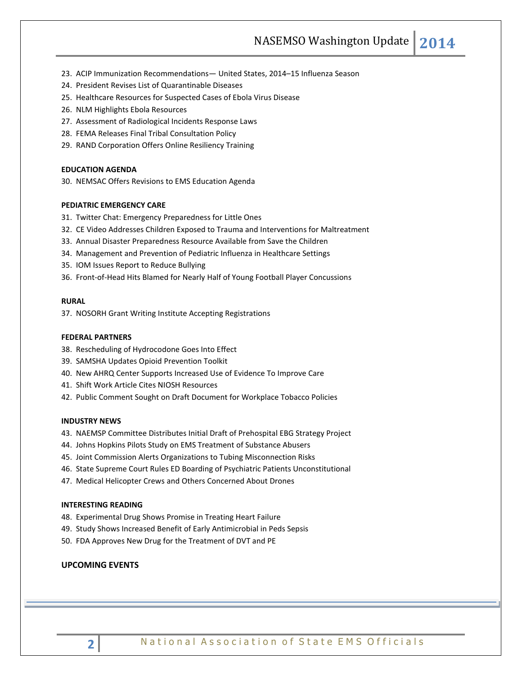NASEMSO Washington Update **2014**

- 23. ACIP Immunization Recommendations— United States, 2014–15 Influenza Season
- 24. President Revises List of Quarantinable Diseases
- 25. Healthcare Resources for Suspected Cases of Ebola Virus Disease
- 26. NLM Highlights Ebola Resources
- 27. Assessment of Radiological Incidents Response Laws
- 28. FEMA Releases Final Tribal Consultation Policy
- 29. RAND Corporation Offers Online Resiliency Training

#### **EDUCATION AGENDA**

30. NEMSAC Offers Revisions to EMS Education Agenda

#### **PEDIATRIC EMERGENCY CARE**

- 31. Twitter Chat: Emergency Preparedness for Little Ones
- 32. CE Video Addresses Children Exposed to Trauma and Interventions for Maltreatment
- 33. Annual Disaster Preparedness Resource Available from Save the Children
- 34. Management and Prevention of Pediatric Influenza in Healthcare Settings
- 35. IOM Issues Report to Reduce Bullying
- 36. Front-of-Head Hits Blamed for Nearly Half of Young Football Player Concussions

#### **RURAL**

37. NOSORH Grant Writing Institute Accepting Registrations

#### **FEDERAL PARTNERS**

- 38. Rescheduling of Hydrocodone Goes Into Effect
- 39. SAMSHA Updates Opioid Prevention Toolkit
- 40. New AHRQ Center Supports Increased Use of Evidence To Improve Care
- 41. Shift Work Article Cites NIOSH Resources
- 42. Public Comment Sought on Draft Document for Workplace Tobacco Policies

#### **INDUSTRY NEWS**

- 43. NAEMSP Committee Distributes Initial Draft of Prehospital EBG Strategy Project
- 44. Johns Hopkins Pilots Study on EMS Treatment of Substance Abusers
- 45. Joint Commission Alerts Organizations to Tubing Misconnection Risks
- 46. State Supreme Court Rules ED Boarding of Psychiatric Patients Unconstitutional
- 47. Medical Helicopter Crews and Others Concerned About Drones

#### **INTERESTING READING**

- 48. Experimental Drug Shows Promise in Treating Heart Failure
- 49. Study Shows Increased Benefit of Early Antimicrobial in Peds Sepsis
- 50. FDA Approves New Drug for the Treatment of DVT and PE

#### **UPCOMING EVENTS**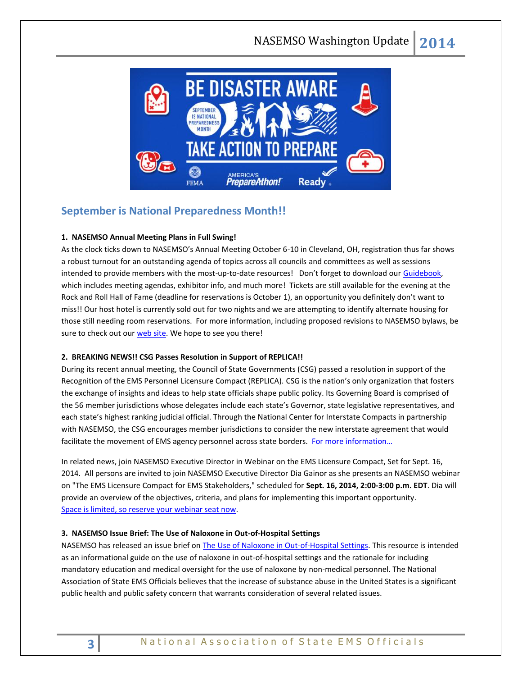

# **September is National Preparedness Month!!**

# **1. NASEMSO Annual Meeting Plans in Full Swing!**

As the clock ticks down to NASEMSO's Annual Meeting October 6-10 in Cleveland, OH, registration thus far shows a robust turnout for an outstanding agenda of topics across all councils and committees as well as sessions intended to provide members with the most-up-to-date resources! Don't forget to download our [Guidebook,](https://guidebook.com/g/zbwsrckf/?ref=badge&gid=24332) which includes meeting agendas, exhibitor info, and much more! Tickets are still available for the evening at the Rock and Roll Hall of Fame (deadline for reservations is October 1), an opportunity you definitely don't want to miss!! Our host hotel is currently sold out for two nights and we are attempting to identify alternate housing for those still needing room reservations. For more information, including proposed revisions to NASEMSO bylaws, be sure to check out ou[r web site.](https://www.nasemso.org/Meetings/Annual/AnnualMeeting2014.asp) We hope to see you there!

# **2. BREAKING NEWS!! CSG Passes Resolution in Support of REPLICA!!**

During its recent annual meeting, the Council of State Governments (CSG) passed a resolution in support of the Recognition of the EMS Personnel Licensure Compact (REPLICA). CSG is the nation's only organization that fosters the exchange of insights and ideas to help state officials shape public policy. Its Governing Board is comprised of the 56 member jurisdictions whose delegates include each state's Governor, state legislative representatives, and each state's highest ranking judicial official. Through the National Center for Interstate Compacts in partnership with NASEMSO, the CSG encourages member jurisdictions to consider the new interstate agreement that would facilitate the movement of EMS agency personnel across state borders. For more information...

In related news, join NASEMSO Executive Director in Webinar on the EMS Licensure Compact, Set for Sept. 16, 2014. All persons are invited to join NASEMSO Executive Director Dia Gainor as she presents an NASEMSO webinar on "The EMS Licensure Compact for EMS Stakeholders," scheduled for **Sept. 16, 2014, 2:00-3:00 p.m. EDT**. Dia will provide an overview of the objectives, criteria, and plans for implementing this important opportunity. [Space is limited, so reserve your webinar seat](https://www2.gotomeeting.com/register/379618442) now.

# **3. NASEMSO Issue Brief: The Use of Naloxone in Out-of-Hospital Settings**

NASEMSO has released an issue brief on [The Use of Naloxone in Out-of-Hospital Settings.](http://www.nasemso.org/Advocacy/PositionsResolutions/documents/NASEMSO-Issue-Brief-Naloxone-14Aug2014.pdf) This resource is intended as an informational guide on the use of naloxone in out-of-hospital settings and the rationale for including mandatory education and medical oversight for the use of naloxone by non-medical personnel. The National Association of State EMS Officials believes that the increase of substance abuse in the United States is a significant public health and public safety concern that warrants consideration of several related issues.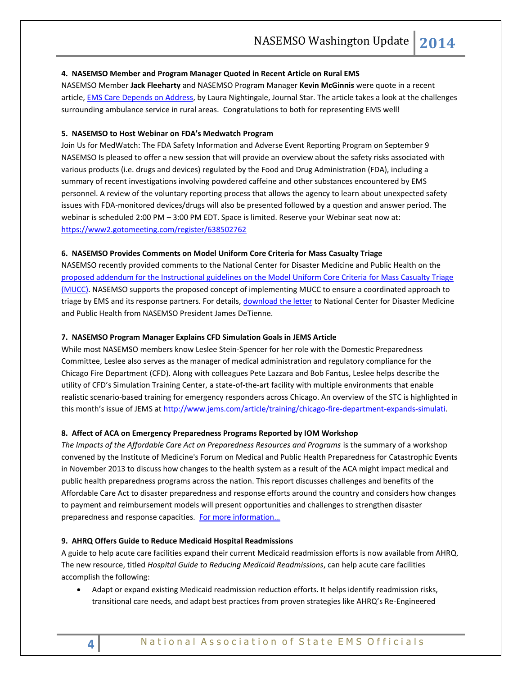#### **4. NASEMSO Member and Program Manager Quoted in Recent Article on Rural EMS**

NASEMSO Member **Jack Fleeharty** and NASEMSO Program Manager **Kevin McGinnis** were quote in a recent article, **EMS Care Depends on Address, by Laura Nightingale**, Journal Star. The article takes a look at the challenges surrounding ambulance service in rural areas. Congratulations to both for representing EMS well!

#### **5. NASEMSO to Host Webinar on FDA's Medwatch Program**

Join Us for MedWatch: The FDA Safety Information and Adverse Event Reporting Program on September 9 NASEMSO Is pleased to offer a new session that will provide an overview about the safety risks associated with various products (i.e. drugs and devices) regulated by the Food and Drug Administration (FDA), including a summary of recent investigations involving powdered caffeine and other substances encountered by EMS personnel. A review of the voluntary reporting process that allows the agency to learn about unexpected safety issues with FDA-monitored devices/drugs will also be presented followed by a question and answer period. The webinar is scheduled 2:00 PM – 3:00 PM EDT. Space is limited. Reserve your Webinar seat now at: <https://www2.gotomeeting.com/register/638502762>

#### **6. NASEMSO Provides Comments on Model Uniform Core Criteria for Mass Casualty Triage**

NASEMSO recently provided comments to the National Center for Disaster Medicine and Public Health on the [proposed addendum for the Instructional guidelines on the Model](http://www.nasemso.org/Projects/DomesticPreparedness/documents/-Model_UCC_for_Mass_Casualty_Incident_Triage-toficems.pdf) Uniform Core Criteria for Mass Casualty Triage [\(MUCC\).](http://www.nasemso.org/Projects/DomesticPreparedness/documents/-Model_UCC_for_Mass_Casualty_Incident_Triage-toficems.pdf) NASEMSO supports the proposed concept of implementing MUCC to ensure a coordinated approach to triage by EMS and its response partners. For details, [download the letter](http://www.nasemso.org/Projects/DomesticPreparedness/documents/MUCC_comments_NASEMSO_08-25-2014.pdf) to National Center for Disaster Medicine and Public Health from NASEMSO President James DeTienne.

#### **7. NASEMSO Program Manager Explains CFD Simulation Goals in JEMS Article**

While most NASEMSO members know Leslee Stein-Spencer for her role with the Domestic Preparedness Committee, Leslee also serves as the manager of medical administration and regulatory compliance for the Chicago Fire Department (CFD). Along with colleagues Pete Lazzara and Bob Fantus, Leslee helps describe the utility of CFD's Simulation Training Center, a state-of-the-art facility with multiple environments that enable realistic scenario-based training for emergency responders across Chicago. An overview of the STC is highlighted in this month's issue of JEMS at [http://www.jems.com/article/training/chicago-fire-department-expands-simulati.](http://www.jems.com/article/training/chicago-fire-department-expands-simulati)

#### **8. Affect of ACA on Emergency Preparedness Programs Reported by IOM Workshop**

*The Impacts of the Affordable Care Act on Preparedness Resources and Programs* is the summary of a workshop convened by the Institute of Medicine's Forum on Medical and Public Health Preparedness for Catastrophic Events in November 2013 to discuss how changes to the health system as a result of the ACA might impact medical and public health preparedness programs across the nation. This report discusses challenges and benefits of the Affordable Care Act to disaster preparedness and response efforts around the country and considers how changes to payment and reimbursement models will present opportunities and challenges to strengthen disaster preparedness and response capacities. For more information...

#### **9. AHRQ Offers Guide to Reduce Medicaid Hospital Readmissions**

A guide to help acute care facilities expand their current Medicaid readmission efforts is now available from AHRQ. The new resource, titled *Hospital Guide to Reducing Medicaid Readmissions*, can help acute care facilities accomplish the following:

 Adapt or expand existing Medicaid readmission reduction efforts. It helps identify readmission risks, transitional care needs, and adapt best practices from proven strategies like AHRQ's Re-Engineered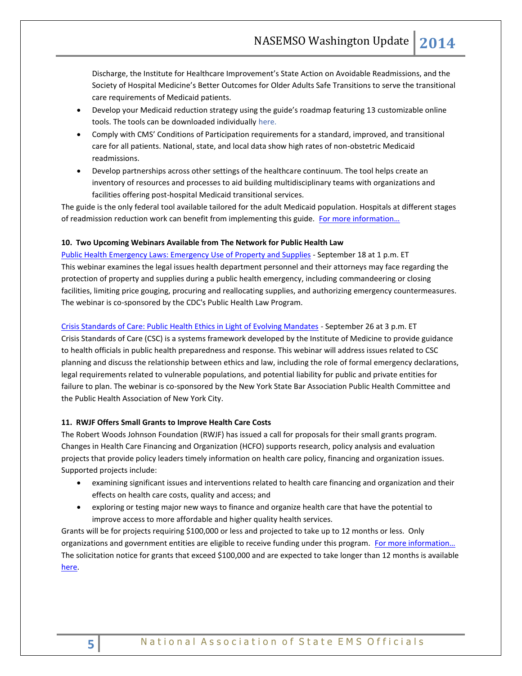Discharge, the Institute for Healthcare Improvement's State Action on Avoidable Readmissions, and the Society of Hospital Medicine's Better Outcomes for Older Adults Safe Transitions to serve the transitional care requirements of Medicaid patients.

- Develop your Medicaid reduction strategy using the guide's roadmap featuring 13 customizable online tools. The tools can be downloaded individually [here.](http://links.govdelivery.com/track?type=click&enid=ZWFzPTEmbWFpbGluZ2lkPTIwMTQwODIxLjM1MjM3NjMxJm1lc3NhZ2VpZD1NREItUFJELUJVTC0yMDE0MDgyMS4zNTIzNzYzMSZkYXRhYmFzZWlkPTEwMDEmc2VyaWFsPTE2OTQwNTMzJmVtYWlsaWQ9a3JvYmluc29uQGFzbWlpLm5ldCZ1c2VyaWQ9a3JvYmluc29uQGFzbWlpLm5ldCZmbD0mZXh0cmE9TXVsdGl2YXJpYXRlSWQ9JiYm&&&102&&&http://www.ahrq.gov/professionals/systems/hospital/medicaidreadmitguide/medread-roadmap.html)
- Comply with CMS' Conditions of Participation requirements for a standard, improved, and transitional care for all patients. National, state, and local data show high rates of non-obstetric Medicaid readmissions.
- Develop partnerships across other settings of the healthcare continuum. The tool helps create an inventory of resources and processes to aid building multidisciplinary teams with organizations and facilities offering post-hospital Medicaid transitional services.

The guide is the only federal tool available tailored for the adult Medicaid population. Hospitals at different stages of readmission reduction work can benefit from implementing this guide. [For more infor](http://www.ahrq.gov/professionals/systems/hospital/medicaidreadmitguide/index.html)mation...

#### **10. Two Upcoming Webinars Available from The Network for Public Health Law**

[Public Health Emergency Laws: Emergency Use of Property and Supplies](https://www.networkforphl.org/webinars/2014/08/29/493/public_health_emergency_law_emergency_use_of_property_and_supplies) - September 18 at 1 p.m. ET This webinar examines the legal issues health department personnel and their attorneys may face regarding the protection of property and supplies during a public health emergency, including commandeering or closing facilities, limiting price gouging, procuring and reallocating supplies, and authorizing emergency countermeasures. The webinar is co-sponsored by the CDC's Public Health Law Program.

[Crisis Standards of Care: Public Health Ethics in Light of Evolving Mandates](https://www.networkforphl.org/webinars/2014/08/28/492/crisis_standards_of_care_public_health_ethics_in_light_of_evolving_mandates) - September 26 at 3 p.m. ET Crisis Standards of Care (CSC) is a systems framework developed by the Institute of Medicine to provide guidance to health officials in public health preparedness and response. This webinar will address issues related to CSC planning and discuss the relationship between ethics and law, including the role of formal emergency declarations, legal requirements related to vulnerable populations, and potential liability for public and private entities for failure to plan. The webinar is co-sponsored by the New York State Bar Association Public Health Committee and the Public Health Association of New York City.

#### **11. RWJF Offers Small Grants to Improve Health Care Costs**

The Robert Woods Johnson Foundation (RWJF) has issued a call for proposals for their small grants program. Changes in Health Care Financing and Organization (HCFO) supports research, policy analysis and evaluation projects that provide policy leaders timely information on health care policy, financing and organization issues. Supported projects include:

- examining significant issues and interventions related to health care financing and organization and their effects on health care costs, quality and access; and
- exploring or testing major new ways to finance and organize health care that have the potential to improve access to more affordable and higher quality health services.

Grants will be for projects requiring \$100,000 or less and projected to take up to 12 months or less. Only organizations and government entities are eligible to receive funding under this program. For more information... The solicitation notice for grants that exceed \$100,000 and are expected to take longer than 12 months is available [here.](http://www.rwjf.org/en/grants/funding-opportunities/2011/changes-in-health-care-financing-and-organization--hcfo-.html)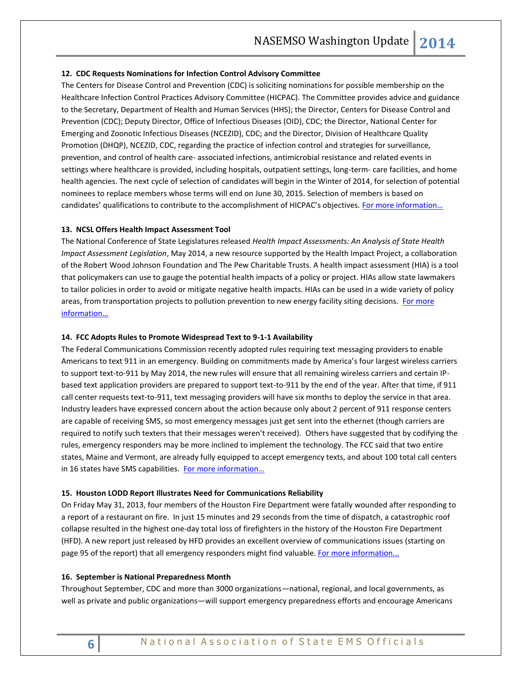#### **12. CDC Requests Nominations for Infection Control Advisory Committee**

The Centers for Disease Control and Prevention (CDC) is soliciting nominations for possible membership on the Healthcare Infection Control Practices Advisory Committee (HICPAC). The Committee provides advice and guidance to the Secretary, Department of Health and Human Services (HHS); the Director, Centers for Disease Control and Prevention (CDC); Deputy Director, Office of Infectious Diseases (OID), CDC; the Director, National Center for Emerging and Zoonotic Infectious Diseases (NCEZID), CDC; and the Director, Division of Healthcare Quality Promotion (DHQP), NCEZID, CDC, regarding the practice of infection control and strategies for surveillance, prevention, and control of health care- associated infections, antimicrobial resistance and related events in settings where healthcare is provided, including hospitals, outpatient settings, long-term- care facilities, and home health agencies. The next cycle of selection of candidates will begin in the Winter of 2014, for selection of potential nominees to replace members whose terms will end on June 30, 2015. Selection of members is based on candidates' qualifications to contribute to the accomplishment of HICPAC's objectives. For more information...

#### **13. NCSL Offers Health Impact Assessment Tool**

The National Conference of State Legislatures released *Health Impact Assessments: An Analysis of State Health Impact Assessment Legislation*, May 2014, a new resource supported by the Health Impact Project, a collaboration of the Robert Wood Johnson Foundation and The Pew Charitable Trusts. A health impact assessment (HIA) is a tool that policymakers can use to gauge the potential health impacts of a policy or project. HIAs allow state lawmakers to tailor policies in order to avoid or mitigate negative health impacts. HIAs can be used in a wide variety of policy areas, from transportation projects to pollution prevention to new energy facility siting decisions. [For more](http://www.ncsl.org/Portals/1/Documents/environ/HealthImpactAssessments314_for_NCSL..pdf)  [information…](http://www.ncsl.org/Portals/1/Documents/environ/HealthImpactAssessments314_for_NCSL..pdf)

#### **14. FCC Adopts Rules to Promote Widespread Text to 9-1-1 Availability**

The Federal Communications Commission recently adopted rules requiring text messaging providers to enable Americans to text 911 in an emergency. Building on commitments made by America's four largest wireless carriers to support text-to-911 by May 2014, the new rules will ensure that all remaining wireless carriers and certain IPbased text application providers are prepared to support text-to-911 by the end of the year. After that time, if 911 call center requests text-to-911, text messaging providers will have six months to deploy the service in that area. Industry leaders have expressed concern about the action because only about 2 percent of 911 response centers are capable of receiving SMS, so most emergency messages just get sent into the ethernet (though carriers are required to notify such texters that their messages weren't received). Others have suggested that by codifying the rules, emergency responders may be more inclined to implement the technology. The FCC said that two entire states, Maine and Vermont, are already fully equipped to accept emergency texts, and about 100 total call centers in 16 states have SMS capabilities. [For more inform](http://www.fcc.gov/document/fcc-adopts-rules-promote-widespread-text-911-availability)ation...

#### **15. Houston LODD Report Illustrates Need for Communications Reliability**

On Friday May 31, 2013, four members of the Houston Fire Department were fatally wounded after responding to a report of a restaurant on fire. In just 15 minutes and 29 seconds from the time of dispatch, a catastrophic roof collapse resulted in the highest one-day total loss of firefighters in the history of the Houston Fire Department (HFD). A new report just released by HFD provides an excellent overview of communications issues (starting on page 95 of the report) that all emergency responders might find valuable. [For more information...](http://www.click2houston.com/blob/view/-/27825900/data/1/-/hyem4pz/-/New-Document.pdf)

#### **16. September is National Preparedness Month**

Throughout September, CDC and more than 3000 organizations—national, regional, and local governments, as well as private and public organizations—will support emergency preparedness efforts and encourage Americans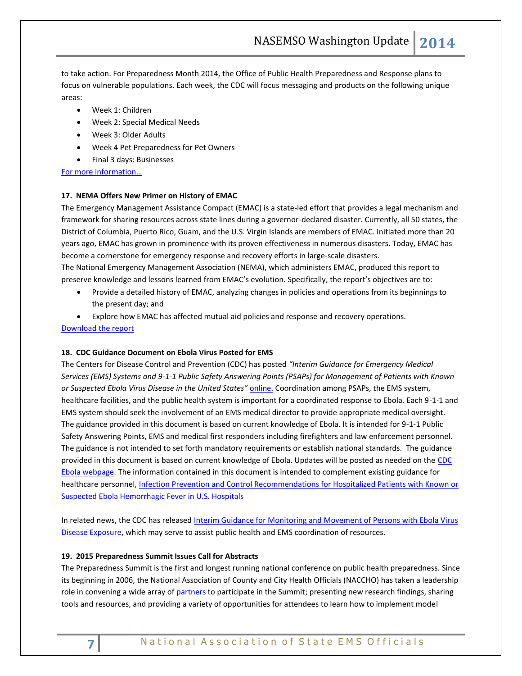to take action. For Preparedness Month 2014, the Office of Public Health Preparedness and Response plans to focus on vulnerable populations. Each week, the CDC will focus messaging and products on the following unique areas:

- Week 1: Children
- Week 2: Special Medical Needs
- Week 3: Older Adults
- Week 4 Pet Preparedness for Pet Owners
- Final 3 days: Businesses

#### [For more information…](http://www.cdc.gov/phpr/preparedness_month.htm)

# **17. NEMA Offers New Primer on History of EMAC**

The Emergency Management Assistance Compact (EMAC) is a state-led effort that provides a legal mechanism and framework for sharing resources across state lines during a governor-declared disaster. Currently, all 50 states, the District of Columbia, Puerto Rico, Guam, and the U.S. Virgin Islands are members of EMAC. Initiated more than 20 years ago, EMAC has grown in prominence with its proven effectiveness in numerous disasters. Today, EMAC has become a cornerstone for emergency response and recovery efforts in large-scale disasters. The National Emergency Management Association (NEMA), which administers EMAC, produced this report to preserve knowledge and lessons learned from EMAC's evolution. Specifically, the report's objectives are to:

- Provide a detailed history of EMAC, analyzing changes in policies and operations from its beginnings to the present day; and
- Explore how EMAC has affected mutual aid policies and response and recovery operations.

#### [Download the report](http://www.emacweb.org/index.php/mutualaidresources/emac-library/5/282-emac-a-history-and-analysis-of-the-evolution-of-national-mutual-aid-policy-and-operations/file)

#### **18. CDC Guidance Document on Ebola Virus Posted for EMS**

The Centers for Disease Control and Prevention (CDC) has posted *"Interim Guidance for Emergency Medical Services (EMS) Systems and 9-1-1 Public Safety Answering Points (PSAPs) for Management of Patients with Known or Suspected Ebola Virus Disease in the United States"* [online.](http://www.cdc.gov/vhf/ebola/hcp/interim-guidance-emergency-medical-services-systems-911-public-safety-answering-points-management-patients-known-suspected-united-states.html) Coordination among PSAPs, the EMS system, healthcare facilities, and the public health system is important for a coordinated response to Ebola. Each 9-1-1 and EMS system should seek the involvement of an EMS medical director to provide appropriate medical oversight. The guidance provided in this document is based on current knowledge of Ebola. It is intended for 9-1-1 Public Safety Answering Points, EMS and medical first responders including firefighters and law enforcement personnel. The guidance is not intended to set forth mandatory requirements or establish national standards. The guidance provided in this document is based on current knowledge of Ebola. Updates will be posted as needed on the CDC [Ebola webpage.](http://www.cdc.gov/vhf/ebola/index.html) The information contained in this document is intended to complement existing guidance for healthcare personnel, [Infection Prevention and Control Recommendations for Hospitalized Patients with Known or](http://www.cdc.gov/vhf/ebola/hcp/infection-prevention-and-control-recommendations.html)  [Suspected Ebola Hemorrhagic Fever in U.S. Hospitals](http://www.cdc.gov/vhf/ebola/hcp/infection-prevention-and-control-recommendations.html)

In related news, the CDC has released [Interim Guidance for Monitoring and Movement of Persons with Ebola Virus](http://www.cdc.gov/vhf/ebola/hcp/monitoring-and-movement-of-persons-with-exposure.html)  [Disease Exposure,](http://www.cdc.gov/vhf/ebola/hcp/monitoring-and-movement-of-persons-with-exposure.html) which may serve to assist public health and EMS coordination of resources.

#### **19. 2015 Preparedness Summit Issues Call for Abstracts**

The Preparedness Summit is the first and longest running national conference on public health preparedness. Since its beginning in 2006, the National Association of County and City Health Officials (NACCHO) has taken a leadership role in convening a wide array of [partners](http://preparednesssummit.org/2015-planning-committee/) to participate in the Summit; presenting new research findings, sharing tools and resources, and providing a variety of opportunities for attendees to learn how to implement model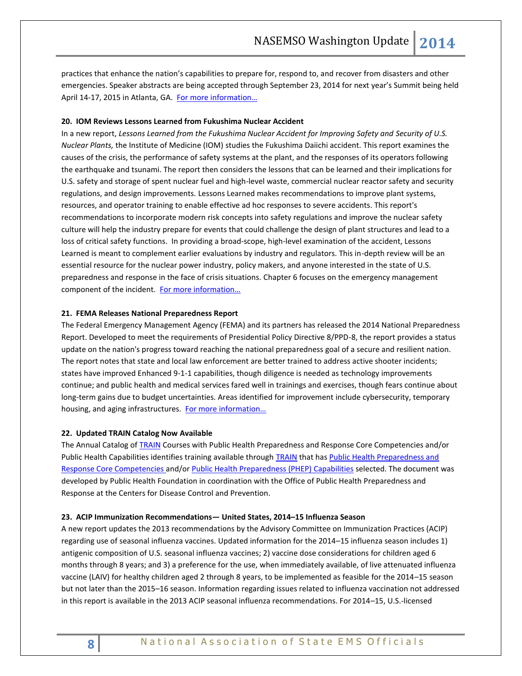practices that enhance the nation's capabilities to prepare for, respond to, and recover from disasters and other emergencies. Speaker abstracts are being accepted through September 23, 2014 for next year's Summit being held April 14-17, 2015 in Atlanta, GA. For more information...

#### **20. IOM Reviews Lessons Learned from Fukushima Nuclear Accident**

In a new report, *Lessons Learned from the Fukushima Nuclear Accident for Improving Safety and Security of U.S. Nuclear Plants,* the Institute of Medicine (IOM) studies the Fukushima Daiichi accident. This report examines the causes of the crisis, the performance of safety systems at the plant, and the responses of its operators following the earthquake and tsunami. The report then considers the lessons that can be learned and their implications for U.S. safety and storage of spent nuclear fuel and high-level waste, commercial nuclear reactor safety and security regulations, and design improvements. Lessons Learned makes recommendations to improve plant systems, resources, and operator training to enable effective ad hoc responses to severe accidents. This report's recommendations to incorporate modern risk concepts into safety regulations and improve the nuclear safety culture will help the industry prepare for events that could challenge the design of plant structures and lead to a loss of critical safety functions. In providing a broad-scope, high-level examination of the accident, Lessons Learned is meant to complement earlier evaluations by industry and regulators. This in-depth review will be an essential resource for the nuclear power industry, policy makers, and anyone interested in the state of U.S. preparedness and response in the face of crisis situations. Chapter 6 focuses on the emergency management component of the incident. For more information...

#### **21. FEMA Releases National Preparedness Report**

The Federal Emergency Management Agency (FEMA) and its partners has released the 2014 National Preparedness Report. Developed to meet the requirements of Presidential Policy Directive 8/PPD-8, the report provides a status update on the nation's progress toward reaching the national preparedness goal of a secure and resilient nation. The report notes that state and local law enforcement are better trained to address active shooter incidents; states have improved Enhanced 9-1-1 capabilities, though diligence is needed as technology improvements continue; and public health and medical services fared well in trainings and exercises, though fears continue about long-term gains due to budget uncertainties. Areas identified for improvement include cybersecurity, temporary housing, and aging infrastructures. [For more information…](http://www.fema.gov/national-preparedness-report)

#### **22. Updated TRAIN Catalog Now Available**

The Annual Catalog of **TRAIN** Courses with Public Health Preparedness and Response Core Competencies and/or Public Health Capabilities identifies training available throug[h TRAIN](http://www.train.org/) that ha[s Public Health Preparedness and](http://www.phf.org/programs/preparednessresponse/Pages/Public_Health_Preparedness_and_Response_Core_Competencies.aspx)  [Response Core Competencies a](http://www.phf.org/programs/preparednessresponse/Pages/Public_Health_Preparedness_and_Response_Core_Competencies.aspx)nd/or [Public Health Preparedness \(PHEP\) Capabilities](http://www.phf.org/programs/preparednessresponse/Pages/Public_Health_Preparedness_Capabilities.aspx) selected. The document was developed by Public Health Foundation in coordination with the Office of Public Health Preparedness and Response at the Centers for Disease Control and Prevention.

#### **23. ACIP Immunization Recommendations— United States, 2014–15 Influenza Season**

A new report updates the 2013 recommendations by the Advisory Committee on Immunization Practices (ACIP) regarding use of seasonal influenza vaccines. Updated information for the 2014–15 influenza season includes 1) antigenic composition of U.S. seasonal influenza vaccines; 2) vaccine dose considerations for children aged 6 months through 8 years; and 3) a preference for the use, when immediately available, of live attenuated influenza vaccine (LAIV) for healthy children aged 2 through 8 years, to be implemented as feasible for the 2014–15 season but not later than the 2015–16 season. Information regarding issues related to influenza vaccination not addressed in this report is available in the 2013 ACIP seasonal influenza recommendations. For 2014–15, U.S.-licensed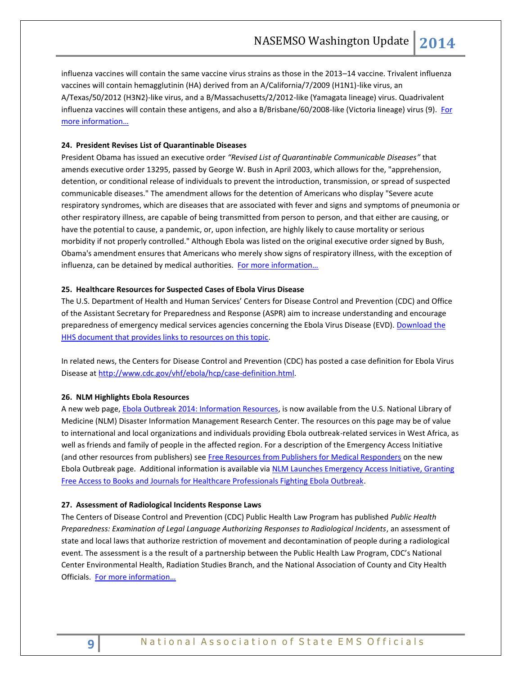influenza vaccines will contain the same vaccine virus strains as those in the 2013–14 vaccine. Trivalent influenza vaccines will contain hemagglutinin (HA) derived from an A/California/7/2009 (H1N1)-like virus, an A/Texas/50/2012 (H3N2)-like virus, and a B/Massachusetts/2/2012-like (Yamagata lineage) virus. Quadrivalent influenza vaccines will contain these antigens, and also a B/Brisbane/60/2008-like (Victoria lineage) virus (9). For [more information…](http://www.cdc.gov/mmwr/preview/mmwrhtml/mm6332a3.htm?s_cid=mm6332a3_e)

#### **24. President Revises List of Quarantinable Diseases**

President Obama has issued an executive order *"Revised List of Quarantinable Communicable Diseases"* that amends executive order 13295, passed by George W. Bush in April 2003, which allows for the, "apprehension, detention, or conditional release of individuals to prevent the introduction, transmission, or spread of suspected communicable diseases." The amendment allows for the detention of Americans who display "Severe acute respiratory syndromes, which are diseases that are associated with fever and signs and symptoms of pneumonia or other respiratory illness, are capable of being transmitted from person to person, and that either are causing, or have the potential to cause, a pandemic, or, upon infection, are highly likely to cause mortality or serious morbidity if not properly controlled." Although Ebola was listed on the original executive order signed by Bush, Obama's amendment ensures that Americans who merely show signs of respiratory illness, with the exception of influenza, can be detained by medical authorities. [For more information…](http://www.whitehouse.gov/the-press-office/2014/07/31/executive-order-revised-list-quarantinable-communicable-diseases)

#### **25. Healthcare Resources for Suspected Cases of Ebola Virus Disease**

The U.S. Department of Health and Human Services' Centers for Disease Control and Prevention (CDC) and Office of the Assistant Secretary for Preparedness and Response (ASPR) aim to increase understanding and encourage preparedness of emergency medical services agencies concerning the Ebola Virus Disease (EVD). [Download the](http://www.nasemso.org/documents/Ebola-Outreach-Letter-EMS.pdf)  [HHS document that provides links to resources on this topic.](http://www.nasemso.org/documents/Ebola-Outreach-Letter-EMS.pdf)

In related news, the Centers for Disease Control and Prevention (CDC) has posted a case definition for Ebola Virus Disease a[t http://www.cdc.gov/vhf/ebola/hcp/case-definition.html.](http://www.cdc.gov/vhf/ebola/hcp/case-definition.html) 

#### **26. NLM Highlights Ebola Resources**

A new web page, [Ebola Outbreak 2014: Information Resources,](http://disasterinfo.nlm.nih.gov/dimrc/ebola_2014.html) is now available from the U.S. National Library of Medicine (NLM) Disaster Information Management Research Center. The resources on this page may be of value to international and local organizations and individuals providing Ebola outbreak-related services in West Africa, as well as friends and family of people in the affected region. For a description of the Emergency Access Initiative (and other resources from publishers) see [Free Resources from Publishers for Medical Responders](http://disasterinfo.nlm.nih.gov/dimrc/ebola_2014.html#a3) on the new Ebola Outbreak page. Additional information is available via [NLM Launches Emergency Access Initiative, Granting](http://www.nlm.nih.gov/news/ebola_emergency_access.html)  [Free Access to Books and Journals for Healthcare Professionals Fighting Ebola Outbreak.](http://www.nlm.nih.gov/news/ebola_emergency_access.html)

#### **27. Assessment of Radiological Incidents Response Laws**

The Centers of Disease Control and Prevention (CDC) Public Health Law Program has published *Public Health Preparedness: Examination of Legal Language Authorizing Responses to Radiological Incidents*, an assessment of state and local laws that authorize restriction of movement and decontamination of people during a radiological event. The assessment is a the result of a partnership between the Public Health Law Program, CDC's National Center Environmental Health, Radiation Studies Branch, and the National Association of County and City Health Officials. For m[ore information…](http://www.cdc.gov/phlp/docs/php-radioactive.pdf)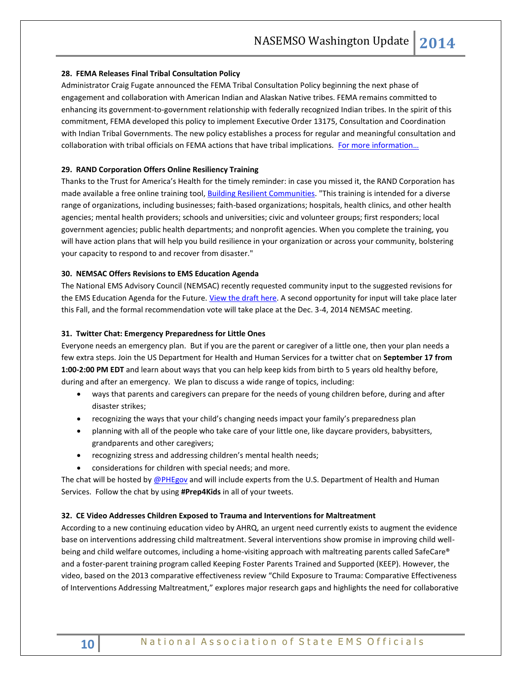#### **28. FEMA Releases Final Tribal Consultation Policy**

Administrator Craig Fugate announced the FEMA Tribal Consultation Policy beginning the next phase of engagement and collaboration with American Indian and Alaskan Native tribes. FEMA remains committed to enhancing its government-to-government relationship with federally recognized Indian tribes. In the spirit of this commitment, FEMA developed this policy to implement Executive Order 13175, Consultation and Coordination with Indian Tribal Governments. The new policy establishes a process for regular and meaningful consultation and collaboration with tribal officials on FEMA actions that have tribal implications. For more information...

#### **29. RAND Corporation Offers Online Resiliency Training**

Thanks to the Trust for America's Health for the timely reminder: in case you missed it, the RAND Corporation has made available a free online training tool[, Building Resilient Communities.](http://r20.rs6.net/tn.jsp?f=001SCY-bwaDX6G5x2pA91Zp21NFgr6zRs8gHnsbq5Ne_BzgtAAcb-8duopisCnD5_y_hVK6_kBxNxi8av5438IA35xpO1Y5wKSUsw41s-6GKHyTH9PT-CBaa1JoylBiwghg59J9J_w1l7le5eSkXiOaEEGMBF6o2akeGP5oVHC9kHUEAdUa1qYf-m_ToAd3XI9g21lsk72CHpI=&c=NJ756DDFNOHVpzu5oesR5s4I6pKcuwdBKOwhmBJ0W2tLpmAitb5Cjw==&ch=tM92dEs0oNCGIx1iW5bwTx_2PZBDyQ_-yGGG0Coz_x38NuzNHlsPsw==) "This training is intended for a diverse range of organizations, including businesses; faith-based organizations; hospitals, health clinics, and other health agencies; mental health providers; schools and universities; civic and volunteer groups; first responders; local government agencies; public health departments; and nonprofit agencies. When you complete the training, you will have action plans that will help you build resilience in your organization or across your community, bolstering your capacity to respond to and recover from disaster."

#### **30. NEMSAC Offers Revisions to EMS Education Agenda**

The National EMS Advisory Council (NEMSAC) recently requested community input to the suggested revisions for the EMS Education Agenda for the Future[. View the draft here.](http://ems.gov/nemsac/DraftRevisionsEducationAgenda-PublicComment-Aug2014.pdf) A second opportunity for input will take place later this Fall, and the formal recommendation vote will take place at the Dec. 3-4, 2014 NEMSAC meeting.

#### **31. Twitter Chat: Emergency Preparedness for Little Ones**

Everyone needs an emergency plan. But if you are the parent or caregiver of a little one, then your plan needs a few extra steps. Join the US Department for Health and Human Services for a twitter chat on **September 17 from 1:00-2:00 PM EDT** and learn about ways that you can help keep kids from birth to 5 years old healthy before, during and after an emergency. We plan to discuss a wide range of topics, including:

- ways that parents and caregivers can prepare for the needs of young children before, during and after disaster strikes;
- recognizing the ways that your child's changing needs impact your family's preparedness plan
- planning with all of the people who take care of your little one, like daycare providers, babysitters, grandparents and other caregivers;
- recognizing stress and addressing children's mental health needs;
- considerations for children with special needs; and more.

The chat will be hosted by [@PHEgov](https://twitter.com/PHEgov) and will include experts from the U.S. Department of Health and Human Services. Follow the chat by using **#Prep4Kids** in all of your tweets.

#### **32. CE Video Addresses Children Exposed to Trauma and Interventions for Maltreatment**

According to a new continuing education video by AHRQ, an urgent need currently exists to augment the evidence base on interventions addressing child maltreatment. Several interventions show promise in improving child wellbeing and child welfare outcomes, including a home-visiting approach with maltreating parents called SafeCare® and a foster-parent training program called Keeping Foster Parents Trained and Supported (KEEP). However, the video, based on the 2013 comparative effectiveness review "Child Exposure to Trauma: Comparative Effectiveness of Interventions Addressing Maltreatment," explores major research gaps and highlights the need for collaborative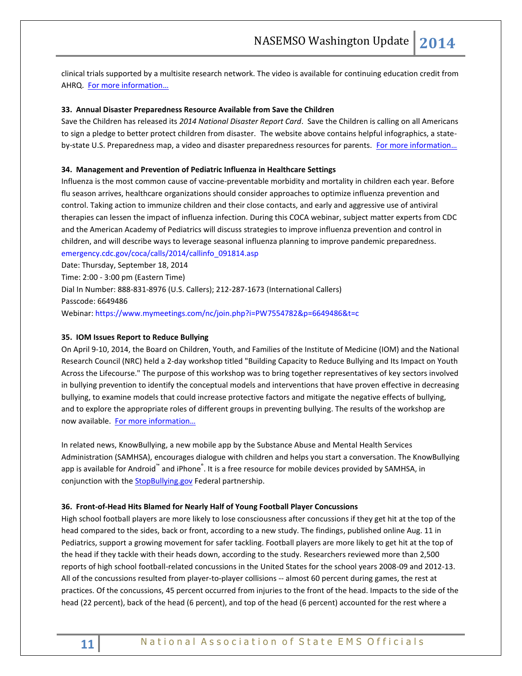clinical trials supported by a multisite research network. The video is available for continuing education credit from AHRQ. [For more information…](http://ahrq.cmeuniversity.com/course/disclaimer/110307)

#### **33. Annual Disaster Preparedness Resource Available from Save the Children**

Save the Children has released its *2014 National Disaster Report Card*. Save the Children is calling on all Americans to sign a pledge to better protect children from disaster. The website above contains helpful infographics, a stateby-state U.S. Preparedness map, a video and disaster preparedness resources for parents. For more information...

#### **34. Management and Prevention of Pediatric Influenza in Healthcare Settings**

Influenza is the most common cause of vaccine-preventable morbidity and mortality in children each year. Before flu season arrives, healthcare organizations should consider approaches to optimize influenza prevention and control. Taking action to immunize children and their close contacts, and early and aggressive use of antiviral therapies can lessen the impact of influenza infection. During this COCA webinar, subject matter experts from CDC and the American Academy of Pediatrics will discuss strategies to improve influenza prevention and control in children, and will describe ways to leverage seasonal influenza planning to improve pandemic preparedness. [emergency.cdc.gov/coca/calls/2014/callinfo\\_091814.asp](http://emergency.cdc.gov/coca/calls/2014/callinfo_091814.asp)

Date: Thursday, September 18, 2014 Time: 2:00 - 3:00 pm (Eastern Time) Dial In Number: 888-831-8976 (U.S. Callers); 212-287-1673 (International Callers) Passcode: 6649486 Webinar:<https://www.mymeetings.com/nc/join.php?i=PW7554782&p=6649486&t=c>

#### **35. IOM Issues Report to Reduce Bullying**

On April 9-10, 2014, the Board on Children, Youth, and Families of the Institute of Medicine (IOM) and the National Research Council (NRC) held a 2-day workshop titled "Building Capacity to Reduce Bullying and Its Impact on Youth Across the Lifecourse." The purpose of this workshop was to bring together representatives of key sectors involved in bullying prevention to identify the conceptual models and interventions that have proven effective in decreasing bullying, to examine models that could increase protective factors and mitigate the negative effects of bullying, and to explore the appropriate roles of different groups in preventing bullying. The results of the workshop are now available. For more information...

In related news, KnowBullying, a new mobile app by the Substance Abuse and Mental Health Services Administration (SAMHSA), encourages dialogue with children and helps you start a conversation. The KnowBullying app is available for Android™and iPhone®. It is a free resource for mobile devices provided by SAMHSA, in conjunction with the **[StopBullying.gov](http://links.govdelivery.com/track?type=click&enid=ZWFzPTEmbWFpbGluZ2lkPTIwMTQwODIzLjM1Mjg2MjAxJm1lc3NhZ2VpZD1NREItUFJELUJVTC0yMDE0MDgyMy4zNTI4NjIwMSZkYXRhYmFzZWlkPTEwMDEmc2VyaWFsPTE2OTQxNjA1JmVtYWlsaWQ9cm9iaW5zb25AbmFzZW1zby5vcmcmdXNlcmlkPXJvYmluc29uQG5hc2Vtc28ub3JnJmZsPSZleHRyYT1NdWx0aXZhcmlhdGVJZD0mJiY=&&&101&&&http://www.stopbullying.gov)** Federal partnership.

#### **36. Front-of-Head Hits Blamed for Nearly Half of Young Football Player Concussions**

High school football players are more likely to lose consciousness after concussions if they get hit at the top of the head compared to the sides, back or front, according to a new study. The findings, published online Aug. 11 in Pediatrics, support a growing movement for safer tackling. Football players are more likely to get hit at the top of the head if they tackle with their heads down, according to the study. Researchers reviewed more than 2,500 reports of high school football-related concussions in the United States for the school years 2008-09 and 2012-13. All of the concussions resulted from player-to-player collisions -- almost 60 percent during games, the rest at practices. Of the concussions, 45 percent occurred from injuries to the front of the head. Impacts to the side of the head (22 percent), back of the head (6 percent), and top of the head (6 percent) accounted for the rest where a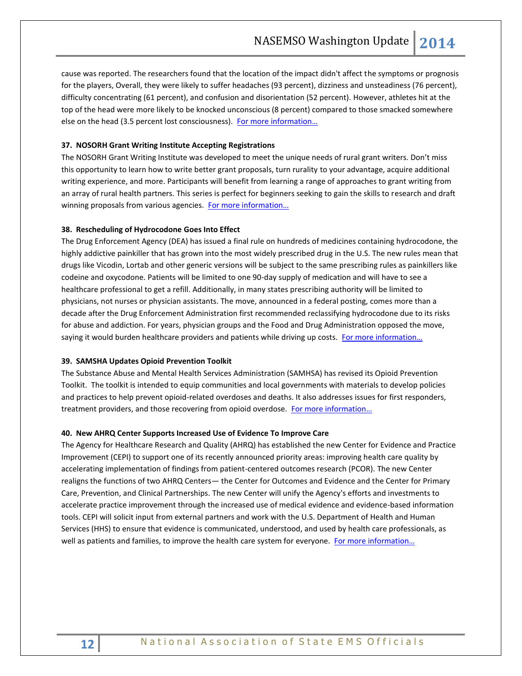cause was reported. The researchers found that the location of the impact didn't affect the symptoms or prognosis for the players, Overall, they were likely to suffer headaches (93 percent), dizziness and unsteadiness (76 percent), difficulty concentrating (61 percent), and confusion and disorientation (52 percent). However, athletes hit at the top of the head were more likely to be knocked unconscious (8 percent) compared to those smacked somewhere else on the head (3.5 percent lost consciousness). For more information...

#### **37. NOSORH Grant Writing Institute Accepting Registrations**

The NOSORH Grant Writing Institute was developed to meet the unique needs of rural grant writers. Don't miss this opportunity to learn how to write better grant proposals, turn rurality to your advantage, acquire additional writing experience, and more. Participants will benefit from learning a range of approaches to grant writing from an array of rural health partners. This series is perfect for beginners seeking to gain the skills to research and draft winning proposals from various agencies. For more information...

#### **38. Rescheduling of Hydrocodone Goes Into Effect**

The Drug Enforcement Agency (DEA) has issued a final rule on hundreds of medicines containing hydrocodone, the highly addictive painkiller that has grown into the most widely prescribed drug in the U.S. The new rules mean that drugs like Vicodin, Lortab and other generic versions will be subject to the same prescribing rules as painkillers like codeine and oxycodone. Patients will be limited to one 90-day supply of medication and will have to see a healthcare professional to get a refill. Additionally, in many states prescribing authority will be limited to physicians, not nurses or physician assistants. The move, announced in a federal posting, comes more than a decade after the Drug Enforcement Administration first recommended reclassifying hydrocodone due to its risks for abuse and addiction. For years, physician groups and the Food and Drug Administration opposed the move, saying it would burden healthcare providers and patients while driving up costs. For more information...

#### **39. SAMSHA Updates Opioid Prevention Toolkit**

The Substance Abuse and Mental Health Services Administration (SAMHSA) has revised its Opioid Prevention Toolkit. The toolkit is intended to equip communities and local governments with materials to develop policies and practices to help prevent opioid-related overdoses and deaths. It also addresses issues for first responders, treatment providers, and those recovering from opioid overdose. [For more information…](http://store.samhsa.gov/product/Opioid-Overdose-Prevention-Toolkit-Updated-2014/All-New-Products/SMA14-4742)

#### **40. New AHRQ Center Supports Increased Use of Evidence To Improve Care**

The Agency for Healthcare Research and Quality (AHRQ) has established the new Center for Evidence and Practice Improvement (CEPI) to support one of its recently announced priority areas: improving health care quality by accelerating implementation of findings from patient-centered outcomes research (PCOR). The new Center realigns the functions of two AHRQ Centers— the Center for Outcomes and Evidence and the Center for Primary Care, Prevention, and Clinical Partnerships. The new Center will unify the Agency's efforts and investments to accelerate practice improvement through the increased use of medical evidence and evidence-based information tools. CEPI will solicit input from external partners and work with the U.S. Department of Health and Human Services (HHS) to ensure that evidence is communicated, understood, and used by health care professionals, as well as patients and families, to improve the health care system for everyone. For more information...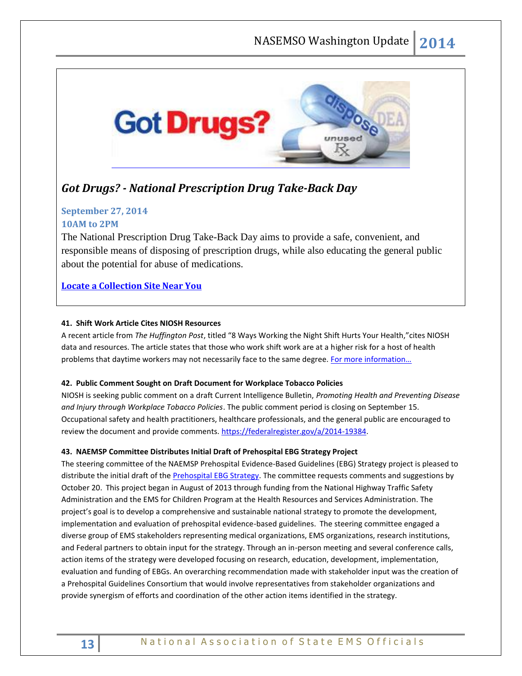

# *Got Drugs? - National Prescription Drug Take-Back Day*

# **September 27, 2014**

# **10AM to 2PM**

The National Prescription Drug Take-Back Day aims to provide a safe, convenient, and responsible means of disposing of prescription drugs, while also educating the general public about the potential for abuse of medications.

# **[Locate a Collection](https://www.deadiversion.usdoj.gov/SEARCH-NTBI/) Site Near You**

# **41. Shift Work Article Cites NIOSH Resources**

A recent article from *The Huffington Post*, titled "8 Ways Working the Night Shift Hurts Your Health,"cites NIOSH data and resources. The article states that those who work shift work are at a higher risk for a host of health problems that daytime workers may not necessarily face to the same degree. For more information...

#### **42. Public Comment Sought on Draft Document for Workplace Tobacco Policies**

NIOSH is seeking public comment on a draft Current Intelligence Bulletin, *Promoting Health and Preventing Disease and Injury through Workplace Tobacco Policies*. The public comment period is closing on September 15. Occupational safety and health practitioners, healthcare professionals, and the general public are encouraged to review the document and provide comments. [https://federalregister.gov/a/2014-19384.](http://links.govdelivery.com/track?type=click&enid=ZWFzPTEmbWFpbGluZ2lkPTIwMTQwODI4LjM1NDQzNzUxJm1lc3NhZ2VpZD1NREItUFJELUJVTC0yMDE0MDgyOC4zNTQ0Mzc1MSZkYXRhYmFzZWlkPTEwMDEmc2VyaWFsPTE2ODkwNjg0JmVtYWlsaWQ9cm9iaW5zb25AbmFzZW1zby5vcmcmdXNlcmlkPXJvYmluc29uQG5hc2Vtc28ub3JnJmZsPSZleHRyYT1NdWx0aXZhcmlhdGVJZD0mJiY=&&&111&&&https://federalregister.gov/a/2014-19384)

#### **43. NAEMSP Committee Distributes Initial Draft of Prehospital EBG Strategy Project**

The steering committee of the NAEMSP Prehospital Evidence-Based Guidelines (EBG) Strategy project is pleased to distribute the initial draft of the [Prehospital EBG Strategy.](http://www.naemsp.org/Documents/EBG/Prehospital-EBG-Strategy_Draft.pdf) The committee requests comments and suggestions by October 20. This project began in August of 2013 through funding from the National Highway Traffic Safety Administration and the EMS for Children Program at the Health Resources and Services Administration. The project's goal is to develop a comprehensive and sustainable national strategy to promote the development, implementation and evaluation of prehospital evidence-based guidelines. The steering committee engaged a diverse group of EMS stakeholders representing medical organizations, EMS organizations, research institutions, and Federal partners to obtain input for the strategy. Through an in-person meeting and several conference calls, action items of the strategy were developed focusing on research, education, development, implementation, evaluation and funding of EBGs. An overarching recommendation made with stakeholder input was the creation of a Prehospital Guidelines Consortium that would involve representatives from stakeholder organizations and provide synergism of efforts and coordination of the other action items identified in the strategy.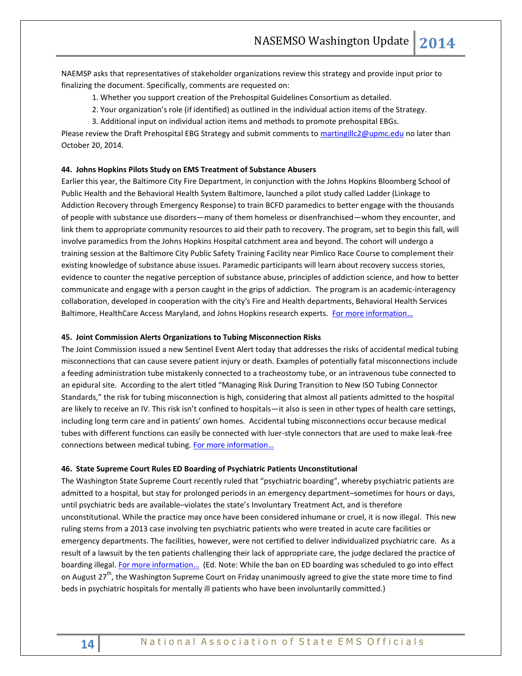NAEMSP asks that representatives of stakeholder organizations review this strategy and provide input prior to finalizing the document. Specifically, comments are requested on:

1. Whether you support creation of the Prehospital Guidelines Consortium as detailed.

- 2. Your organization's role (if identified) as outlined in the individual action items of the Strategy.
- 3. Additional input on individual action items and methods to promote prehospital EBGs.

Please review the Draft Prehospital EBG Strategy and submit comments to [martingillc2@upmc.edu](mailto:martingillc2@upmc.edu) no later than October 20, 2014.

#### **44. Johns Hopkins Pilots Study on EMS Treatment of Substance Abusers**

Earlier this year, the Baltimore City Fire Department, in conjunction with the Johns Hopkins Bloomberg School of Public Health and the Behavioral Health System Baltimore, launched a pilot study called Ladder (Linkage to Addiction Recovery through Emergency Response) to train BCFD paramedics to better engage with the thousands of people with substance use disorders—many of them homeless or disenfranchised—whom they encounter, and link them to appropriate community resources to aid their path to recovery. The program, set to begin this fall, will involve paramedics from the Johns Hopkins Hospital catchment area and beyond. The cohort will undergo a training session at the Baltimore City Public Safety Training Facility near Pimlico Race Course to complement their existing knowledge of substance abuse issues. Paramedic participants will learn about recovery success stories, evidence to counter the negative perception of substance abuse, principles of addiction science, and how to better communicate and engage with a person caught in the grips of addiction. The program is an academic-interagency collaboration, developed in cooperation with the city's Fire and Health departments, Behavioral Health Services Baltimore, HealthCare Access Maryland, and Johns Hopkins research experts. For more information...

#### **45. Joint Commission Alerts Organizations to Tubing Misconnection Risks**

The Joint Commission issued a new Sentinel Event Alert today that addresses the risks of accidental medical tubing misconnections that can cause severe patient injury or death. Examples of potentially fatal misconnections include a feeding administration tube mistakenly connected to a tracheostomy tube, or an intravenous tube connected to an epidural site. According to the alert titled "Managing Risk During Transition to New ISO Tubing Connector Standards," the risk for tubing misconnection is high, considering that almost all patients admitted to the hospital are likely to receive an IV. This risk isn't confined to hospitals—it also is seen in other types of health care settings, including long term care and in patients' own homes. Accidental tubing misconnections occur because medical tubes with different functions can easily be connected with luer-style connectors that are used to make leak-free connections between medical tubing. For more information...

#### **46. State Supreme Court Rules ED Boarding of Psychiatric Patients Unconstitutional**

The Washington State Supreme Court recently ruled that "psychiatric boarding", whereby psychiatric patients are admitted to a hospital, but stay for prolonged periods in an emergency department–sometimes for hours or days, until psychiatric beds are available–violates the state's Involuntary Treatment Act, and is therefore unconstitutional. While the practice may once have been considered inhumane or cruel, it is now illegal. This new ruling stems from a 2013 case involving ten psychiatric patients who were treated in acute care facilities or emergency departments. The facilities, however, were not certified to deliver individualized psychiatric care. As a result of a lawsuit by the ten patients challenging their lack of appropriate care, the judge declared the practice of boarding illegal. [For more information…](http://www.forbes.com/sites/robertglatter/2014/08/16/boarding-of-psychiatric-patients-in-emergency-departments-unconstitutional-in-washington-state/) (Ed. Note: While the ban on ED boarding was scheduled to go into effect on August 27<sup>th</sup>, the Washington Supreme Court on Friday unanimously agreed to give the state more time to find beds in psychiatric hospitals for mentally ill patients who have been involuntarily committed.)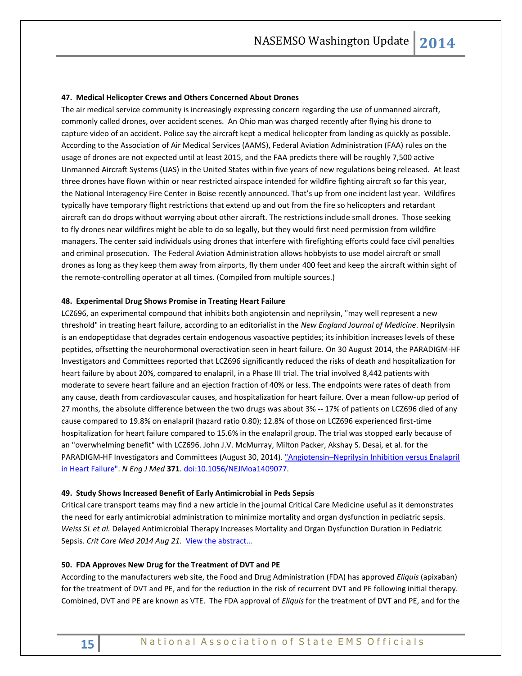#### **47. Medical Helicopter Crews and Others Concerned About Drones**

The air medical service community is increasingly expressing concern regarding the use of unmanned aircraft, commonly called drones, over accident scenes. An Ohio man was charged recently after flying his drone to capture video of an accident. Police say the aircraft kept a medical helicopter from landing as quickly as possible. According to the Association of Air Medical Services (AAMS), Federal Aviation Administration (FAA) rules on the usage of drones are not expected until at least 2015, and the FAA predicts there will be roughly 7,500 active Unmanned Aircraft Systems (UAS) in the United States within five years of new regulations being released. At least three drones have flown within or near restricted airspace intended for wildfire fighting aircraft so far this year, the National Interagency Fire Center in Boise recently announced. That's up from one incident last year. Wildfires typically have temporary flight restrictions that extend up and out from the fire so helicopters and retardant aircraft can do drops without worrying about other aircraft. The restrictions include small drones. Those seeking to fly drones near wildfires might be able to do so legally, but they would first need permission from wildfire managers. The center said individuals using drones that interfere with firefighting efforts could face civil penalties and criminal prosecution. The Federal Aviation Administration allows hobbyists to use model aircraft or small drones as long as they keep them away from airports, fly them under 400 feet and keep the aircraft within sight of the remote-controlling operator at all times. (Compiled from multiple sources.)

#### **48. Experimental Drug Shows Promise in Treating Heart Failure**

LCZ696, an experimental compound that inhibits both angiotensin and neprilysin, "may well represent a new threshold" in treating heart failure, according to an editorialist in the *New England Journal of Medicine*. Neprilysin is an endopeptidase that degrades certain endogenous vasoactive peptides; its inhibition increases levels of these peptides, offsetting the neurohormonal overactivation seen in heart failure. On 30 August 2014, the PARADIGM-HF Investigators and Committees reported that LCZ696 significantly reduced the risks of death and hospitalization for heart failure by about 20%, compared to enalapril, in a Phase III trial. The trial involved 8,442 patients with moderate to severe heart failure and an ejection fraction of 40% or less. The endpoints were rates of death from any cause, death from cardiovascular causes, and hospitalization for heart failure. Over a mean follow-up period of 27 months, the absolute difference between the two drugs was about 3% -- 17% of patients on LCZ696 died of any cause compared to 19.8% on enalapril (hazard ratio 0.80); 12.8% of those on LCZ696 experienced first-time hospitalization for heart failure compared to 15.6% in the enalapril group. The trial was stopped early because of an "overwhelming benefit" with LCZ696. John J.V. McMurray, Milton Packer, Akshay S. Desai, et al. for the PARADIGM-HF Investigators and Committees (August 30, 2014). "Angiotensin–[Neprilysin Inhibition versus Enalapril](http://www.nejm.org/doi/full/10.1056/NEJMoa1409077)  [in Heart Failure".](http://www.nejm.org/doi/full/10.1056/NEJMoa1409077) *N Eng J Med* **371**[. doi:](http://en.wikipedia.org/wiki/Digital_object_identifier)[10.1056/NEJMoa1409077.](http://dx.doi.org/10.1056%2FNEJMoa1409077)

#### **49. Study Shows Increased Benefit of Early Antimicrobial in Peds Sepsis**

Critical care transport teams may find a new article in the journal Critical Care Medicine useful as it demonstrates the need for early antimicrobial administration to minimize mortality and organ dysfunction in pediatric sepsis. *Weiss SL et al.* Delayed Antimicrobial Therapy Increases Mortality and Organ Dysfunction Duration in Pediatric Sepsis. *Crit Care Med 2014 Aug 21.* [View the abstract…](http://journals.lww.com/ccmjournal/pages/articleviewer.aspx?year=9000&issue=00000&article=97451&type=abstract)

#### **50. FDA Approves New Drug for the Treatment of DVT and PE**

According to the manufacturers web site, the Food and Drug Administration (FDA) has approved *Eliquis* (apixaban) for the treatment of DVT and PE, and for the reduction in the risk of recurrent DVT and PE following initial therapy. Combined, DVT and PE are known as VTE. The FDA approval of *Eliquis* for the treatment of DVT and PE, and for the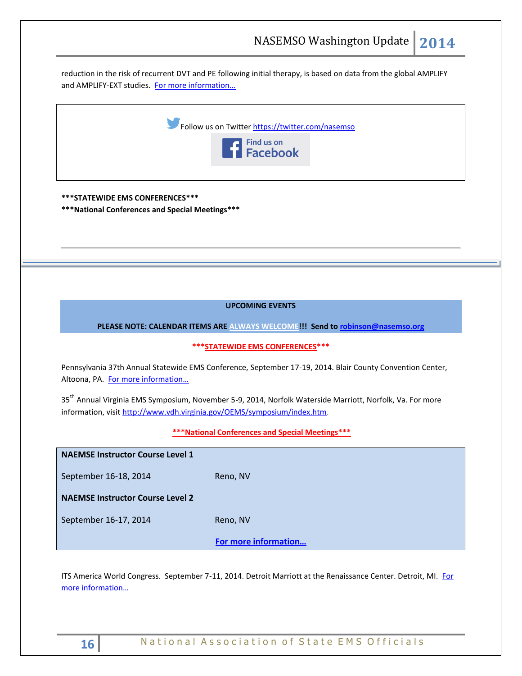reduction in the risk of recurrent DVT and PE following initial therapy, is based on data from the global AMPLIFY and AMPLIFY-EXT studies. [For more information…](http://news.bms.com/press-release/us-fda-approves-eliquis-apixaban-treatment-deep-vein-thrombosis-dvt-and-pulmonary-embo)



**\*\*\*STATEWIDE EMS CONFERENCES\*\*\***

**\*\*\*National Conferences and Special Meetings\*\*\***

#### **UPCOMING EVENTS**

**PLEASE NOTE: CALENDAR ITEMS ARE ALWAYS WELCOME!!! Send t[o robinson@nasemso.org](mailto:robinson@nasemso.org)**

# **\*\*\*STATEWIDE EMS CONFERENCES\*\*\***

Pennsylvania 37th Annual Statewide EMS Conference, September 17-19, 2014. Blair County Convention Center, Altoona, PA. For more information...

35<sup>th</sup> Annual Virginia EMS Symposium, November 5-9, 2014, Norfolk Waterside Marriott, Norfolk, Va. For more information, visit [http://www.vdh.virginia.gov/OEMS/symposium/index.htm.](http://www.vdh.virginia.gov/OEMS/symposium/index.htm)

#### **\*\*\*National Conferences and Special Meetings\*\*\***

**NAEMSE Instructor Course Level 1**

September 16-18, 2014 Reno, NV

**NAEMSE Instructor Course Level 2**

September 16-17, 2014 Reno, NV

**[For more information…](http://www.naemse.org/instructor-course/)**

ITS America World Congress. September 7-11, 2014. Detroit Marriott at the Renaissance Center. Detroit, MI. For [more information…](http://itsworldcongress.org/)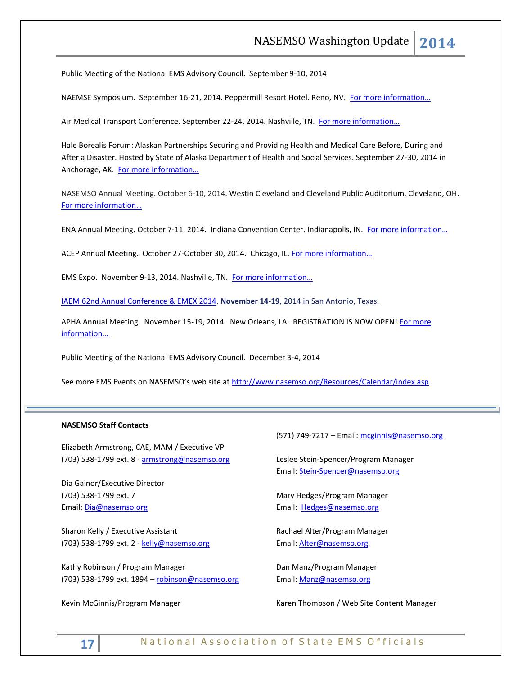Public Meeting of the National EMS Advisory Council. September 9-10, 2014

NAEMSE Symposium. September 16-21, 2014. Peppermill Resort Hotel. Reno, NV. For more information...

Air Medical Transport Conference. September 22-24, 2014. Nashville, TN. For more information...

Hale Borealis Forum: Alaskan Partnerships Securing and Providing Health and Medical Care Before, During and After a Disaster. Hosted by State of Alaska Department of Health and Social Services. September 27-30, 2014 in Anchorage, AK. For more information...

NASEMSO Annual Meeting. October 6-10, 2014. Westin Cleveland and Cleveland Public Auditorium, Cleveland, OH. [For more information…](http://www.nasemso.org/Meetings/Annual/AnnualMeeting2014.asp)

ENA Annual Meeting. October 7-11, 2014. Indiana Convention Center. Indianapolis, IN. For more information...

ACEP Annual Meeting. October 27-October 30, 2014. Chicago, IL. For more information...

EMS Expo. November 9-13, 2014. Nashville, TN. For more information...

[IAEM 62nd Annual Conference & EMEX 2014.](http://r20.rs6.net/tn.jsp?f=0017a16rEY-faAxKJOwcxlWN0Jpa__xXnyjMO4Pf_T7mIwFs3lUIQXD7ZGWHyXQVyvNTnwLThlXfS1UPKQRzF6qWPZ7VHEHLqgSDtV-qSJdKZG24eCnEWw9xpLPyJ0EY7SJl9-NsTtkMl0762iVcLqRH2ZTCfwAsnrdANYguu58E3lE3pgrzD-3l1J9cDg5Xw1DRhBnLuuT01QHd13Ru9uCItLOBJyXA6Vh&c=II48-dM8ZHlh_LnaSX47VE6-1dgVbuOCMhyJx5Oi3Cl7QiDNfwC0vg==&ch=r2qhFC4qt5dHUhtMfeDD8_KDaTnahtsAYkNTsQ0wL_ozbainQdNpJQ==) **November 14-19**, 2014 in San Antonio, Texas.

APHA Annual Meeting. November 15-19, 2014. New Orleans, LA. REGISTRATION IS NOW OPEN[! For more](http://www.apha.org/meetings/registration)  [information…](http://www.apha.org/meetings/registration)

Public Meeting of the National EMS Advisory Council. December 3-4, 2014

See more EMS Events on NASEMSO's web site at <http://www.nasemso.org/Resources/Calendar/index.asp>

#### **NASEMSO Staff Contacts**

Elizabeth Armstrong, CAE, MAM / Executive VP (703) 538-1799 ext. 8 - [armstrong@nasemso.org](mailto:armstrong@nasemso.org)

Dia Gainor/Executive Director (703) 538-1799 ext. 7 Email: [Dia@nasemso.org](mailto:Dia@nasemso.org)

Sharon Kelly / Executive Assistant (703) 538-1799 ext. 2 - [kelly@nasemso.org](mailto:kelly@nasemso.org)

Kathy Robinson / Program Manager (703) 538-1799 ext. 1894 – [robinson@nasemso.org](mailto:robinson@nasemso.org)

Kevin McGinnis/Program Manager

(571) 749-7217 – Email: [mcginnis@nasemso.org](mailto:mcginnis@nasemso.org)

Leslee Stein-Spencer/Program Manager Email: [Stein-Spencer@nasemso.org](mailto:Stein-Spencer@nasemso.org)

Mary Hedges/Program Manager Email: [Hedges@nasemso.org](mailto:Hedges@nasemso.org)

Rachael Alter/Program Manager Email: [Alter@nasemso.org](mailto:Alter@nasemso.org) 

Dan Manz/Program Manager Email: [Manz@nasemso.org](mailto:Manz@nasemso.org)

Karen Thompson / Web Site Content Manager